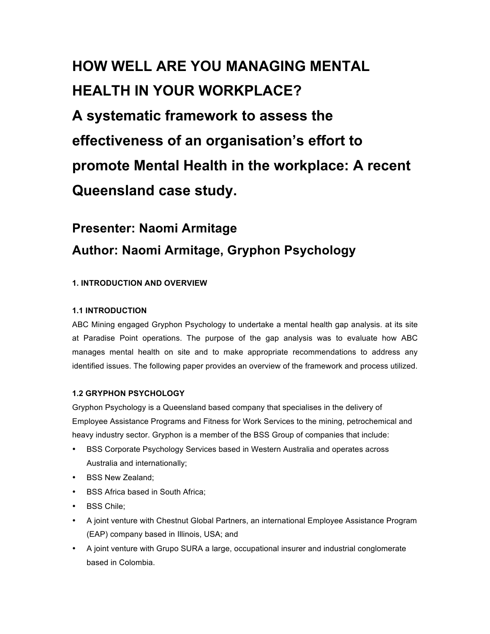# **HOW WELL ARE YOU MANAGING MENTAL HEALTH IN YOUR WORKPLACE? A systematic framework to assess the effectiveness of an organisation's effort to promote Mental Health in the workplace: A recent Queensland case study.**

# **Presenter: Naomi Armitage Author: Naomi Armitage, Gryphon Psychology**

# **1. INTRODUCTION AND OVERVIEW**

## **1.1 INTRODUCTION**

ABC Mining engaged Gryphon Psychology to undertake a mental health gap analysis. at its site at Paradise Point operations. The purpose of the gap analysis was to evaluate how ABC manages mental health on site and to make appropriate recommendations to address any identified issues. The following paper provides an overview of the framework and process utilized.

#### **1.2 GRYPHON PSYCHOLOGY**

Gryphon Psychology is a Queensland based company that specialises in the delivery of Employee Assistance Programs and Fitness for Work Services to the mining, petrochemical and heavy industry sector. Gryphon is a member of the BSS Group of companies that include:

- BSS Corporate Psychology Services based in Western Australia and operates across Australia and internationally;
- BSS New Zealand;
- BSS Africa based in South Africa;
- BSS Chile;
- A joint venture with Chestnut Global Partners, an international Employee Assistance Program (EAP) company based in Illinois, USA; and
- A joint venture with Grupo SURA a large, occupational insurer and industrial conglomerate based in Colombia.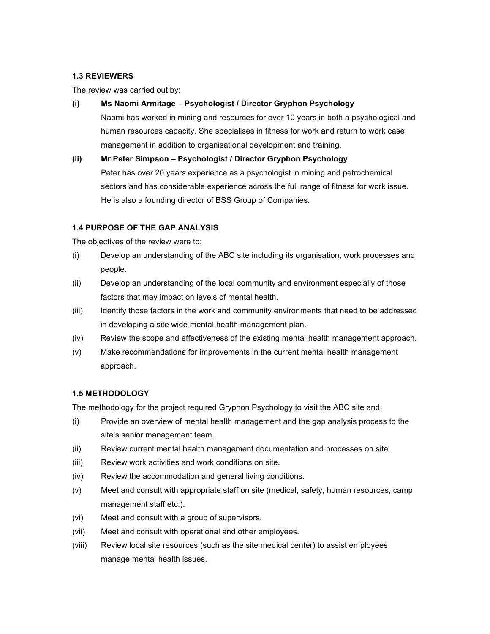#### **1.3 REVIEWERS**

The review was carried out by:

#### **(i) Ms Naomi Armitage – Psychologist / Director Gryphon Psychology**

Naomi has worked in mining and resources for over 10 years in both a psychological and human resources capacity. She specialises in fitness for work and return to work case management in addition to organisational development and training.

#### **(ii) Mr Peter Simpson – Psychologist / Director Gryphon Psychology**

Peter has over 20 years experience as a psychologist in mining and petrochemical sectors and has considerable experience across the full range of fitness for work issue. He is also a founding director of BSS Group of Companies.

#### **1.4 PURPOSE OF THE GAP ANALYSIS**

The objectives of the review were to:

- (i) Develop an understanding of the ABC site including its organisation, work processes and people.
- (ii) Develop an understanding of the local community and environment especially of those factors that may impact on levels of mental health.
- (iii) Identify those factors in the work and community environments that need to be addressed in developing a site wide mental health management plan.
- (iv) Review the scope and effectiveness of the existing mental health management approach.
- (v) Make recommendations for improvements in the current mental health management approach.

#### **1.5 METHODOLOGY**

The methodology for the project required Gryphon Psychology to visit the ABC site and:

- (i) Provide an overview of mental health management and the gap analysis process to the site's senior management team.
- (ii) Review current mental health management documentation and processes on site.
- (iii) Review work activities and work conditions on site.
- (iv) Review the accommodation and general living conditions.
- (v) Meet and consult with appropriate staff on site (medical, safety, human resources, camp management staff etc.).
- (vi) Meet and consult with a group of supervisors.
- (vii) Meet and consult with operational and other employees.
- (viii) Review local site resources (such as the site medical center) to assist employees manage mental health issues.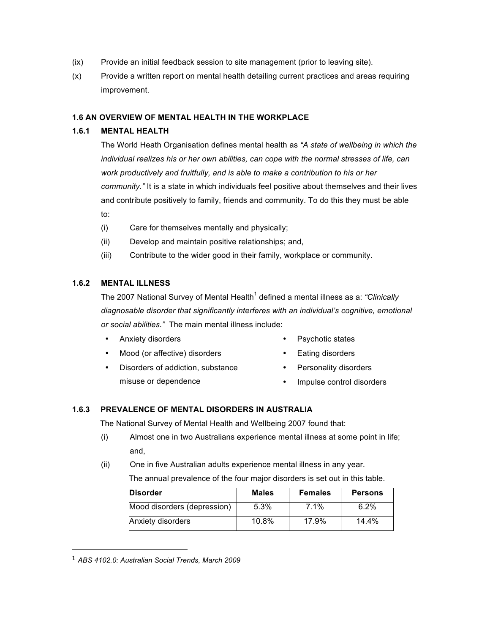- (ix) Provide an initial feedback session to site management (prior to leaving site).
- (x) Provide a written report on mental health detailing current practices and areas requiring improvement.

#### **1.6 AN OVERVIEW OF MENTAL HEALTH IN THE WORKPLACE**

#### **1.6.1 MENTAL HEALTH**

The World Heath Organisation defines mental health as *"A state of wellbeing in which the individual realizes his or her own abilities, can cope with the normal stresses of life, can work productively and fruitfully, and is able to make a contribution to his or her community."* It is a state in which individuals feel positive about themselves and their lives and contribute positively to family, friends and community. To do this they must be able to:

- (i) Care for themselves mentally and physically;
- (ii) Develop and maintain positive relationships; and,
- (iii) Contribute to the wider good in their family, workplace or community.

#### **1.6.2 MENTAL ILLNESS**

The 2007 National Survey of Mental Health<sup>1</sup> defined a mental illness as a: *"Clinically diagnosable disorder that significantly interferes with an individual's cognitive, emotional or social abilities."* The main mental illness include:

- Anxiety disorders **•** Psychotic states
- 
- Mood (or affective) disorders Eating disorders
- Disorders of addiction, substance misuse or dependence
- Personality disorders
- 
- Impulse control disorders

#### **1.6.3 PREVALENCE OF MENTAL DISORDERS IN AUSTRALIA**

The National Survey of Mental Health and Wellbeing 2007 found that:

- (i) Almost one in two Australians experience mental illness at some point in life; and,
- (ii) One in five Australian adults experience mental illness in any year. The annual prevalence of the four major disorders is set out in this table.

| <b>Disorder</b>             | <b>Males</b> | <b>Females</b> | <b>Persons</b> |
|-----------------------------|--------------|----------------|----------------|
| Mood disorders (depression) | 5.3%         | $7.1\%$        | $6.2\%$        |
| Anxiety disorders           | 10.8%        | 17.9%          | 14.4%          |

<sup>1</sup> *ABS 4102.0: Australian Social Trends, March 2009*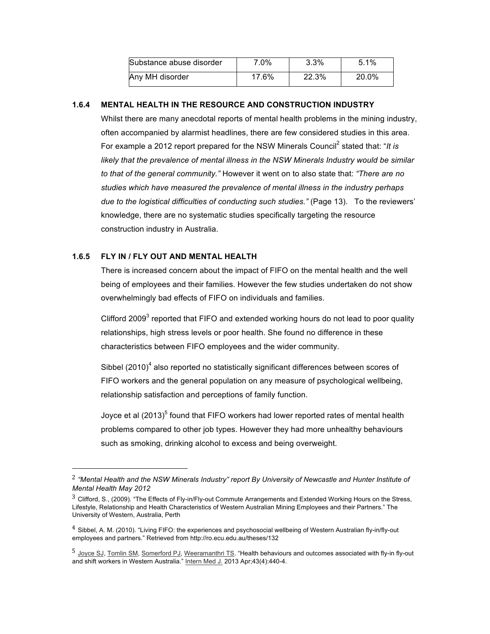| Substance abuse disorder | $7.0\%$ | 3.3%  | 5.1%  |
|--------------------------|---------|-------|-------|
| Any MH disorder          | 17.6%   | 22.3% | 20.0% |

#### **1.6.4 MENTAL HEALTH IN THE RESOURCE AND CONSTRUCTION INDUSTRY**

Whilst there are many anecdotal reports of mental health problems in the mining industry, often accompanied by alarmist headlines, there are few considered studies in this area. For example a 2012 report prepared for the NSW Minerals Council<sup>2</sup> stated that: "*It is* likely that the prevalence of mental illness in the NSW Minerals Industry would be similar *to that of the general community."* However it went on to also state that: *"There are no studies which have measured the prevalence of mental illness in the industry perhaps due to the logistical difficulties of conducting such studies."* (Page 13). To the reviewers' knowledge, there are no systematic studies specifically targeting the resource construction industry in Australia.

#### **1.6.5 FLY IN / FLY OUT AND MENTAL HEALTH**

 

There is increased concern about the impact of FIFO on the mental health and the well being of employees and their families. However the few studies undertaken do not show overwhelmingly bad effects of FIFO on individuals and families.

Clifford 2009 $3$  reported that FIFO and extended working hours do not lead to poor quality relationships, high stress levels or poor health. She found no difference in these characteristics between FIFO employees and the wider community.

Sibbel  $(2010)^4$  also reported no statistically significant differences between scores of FIFO workers and the general population on any measure of psychological wellbeing, relationship satisfaction and perceptions of family function.

Joyce et al  $(2013)^5$  found that FIFO workers had lower reported rates of mental health problems compared to other job types. However they had more unhealthy behaviours such as smoking, drinking alcohol to excess and being overweight.

<sup>2</sup> *"Mental Health and the NSW Minerals Industry" report By University of Newcastle and Hunter Institute of Mental Health May 2012*

 $3$  Clifford, S., (2009). "The Effects of Fly-in/Fly-out Commute Arrangements and Extended Working Hours on the Stress, Lifestyle, Relationship and Health Characteristics of Western Australian Mining Employees and their Partners." The University of Western, Australia, Perth

 $^4$  Sibbel, A. M. (2010). "Living FIFO: the experiences and psychosocial wellbeing of Western Australian fly-in/fly-out employees and partners." Retrieved from http://ro.ecu.edu.au/theses/132

<sup>5</sup> Joyce SJ, Tomlin SM, Somerford PJ, Weeramanthri TS. "Health behaviours and outcomes associated with fly-in fly-out and shift workers in Western Australia." Intern Med J. 2013 Apr;43(4):440-4.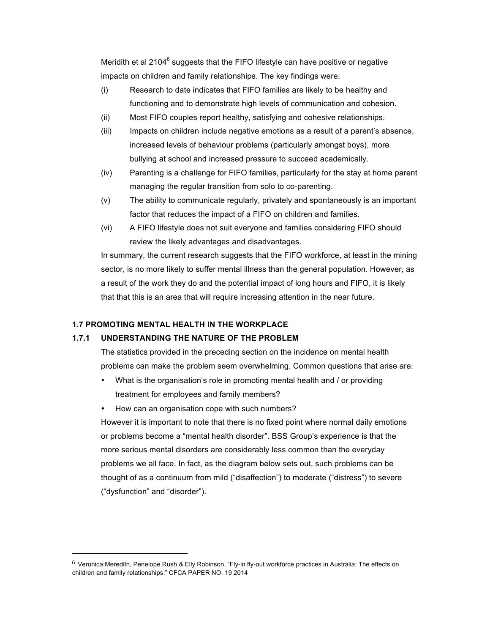Meridith et al 2104<sup>6</sup> suggests that the FIFO lifestyle can have positive or negative impacts on children and family relationships. The key findings were:

- (i) Research to date indicates that FIFO families are likely to be healthy and functioning and to demonstrate high levels of communication and cohesion.
- (ii) Most FIFO couples report healthy, satisfying and cohesive relationships.
- (iii) Impacts on children include negative emotions as a result of a parent's absence, increased levels of behaviour problems (particularly amongst boys), more bullying at school and increased pressure to succeed academically.
- (iv) Parenting is a challenge for FIFO families, particularly for the stay at home parent managing the regular transition from solo to co-parenting.
- (v) The ability to communicate regularly, privately and spontaneously is an important factor that reduces the impact of a FIFO on children and families.
- (vi) A FIFO lifestyle does not suit everyone and families considering FIFO should review the likely advantages and disadvantages.

In summary, the current research suggests that the FIFO workforce, at least in the mining sector, is no more likely to suffer mental illness than the general population. However, as a result of the work they do and the potential impact of long hours and FIFO, it is likely that that this is an area that will require increasing attention in the near future.

#### **1.7 PROMOTING MENTAL HEALTH IN THE WORKPLACE**

 

#### **1.7.1 UNDERSTANDING THE NATURE OF THE PROBLEM**

The statistics provided in the preceding section on the incidence on mental health problems can make the problem seem overwhelming. Common questions that arise are:

- What is the organisation's role in promoting mental health and / or providing treatment for employees and family members?
- How can an organisation cope with such numbers?

However it is important to note that there is no fixed point where normal daily emotions or problems become a "mental health disorder". BSS Group's experience is that the more serious mental disorders are considerably less common than the everyday problems we all face. In fact, as the diagram below sets out, such problems can be thought of as a continuum from mild ("disaffection") to moderate ("distress") to severe ("dysfunction" and "disorder").

<sup>6</sup> Veronica Meredith, Penelope Rush & Elly Robinson. "Fly-in fly-out workforce practices in Australia: The effects on children and family relationships." CFCA PAPER NO. 19 2014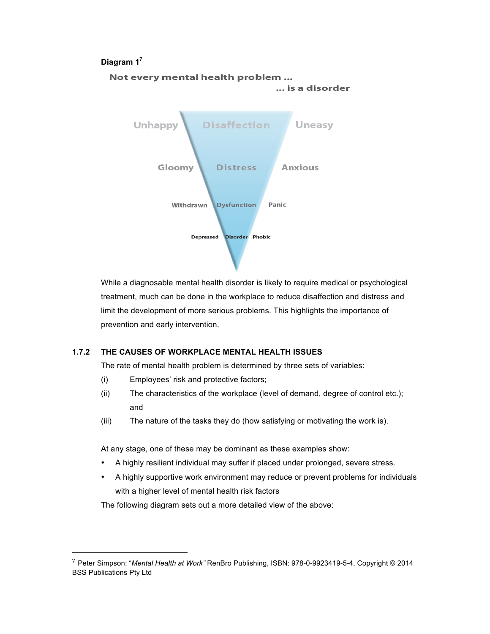#### **Diagram 17**



While a diagnosable mental health disorder is likely to require medical or psychological treatment, much can be done in the workplace to reduce disaffection and distress and limit the development of more serious problems. This highlights the importance of prevention and early intervention.

#### **1.7.2 THE CAUSES OF WORKPLACE MENTAL HEALTH ISSUES**

The rate of mental health problem is determined by three sets of variables:

(i) Employees' risk and protective factors;

 

- (ii) The characteristics of the workplace (level of demand, degree of control etc.); and
- (iii) The nature of the tasks they do (how satisfying or motivating the work is).

At any stage, one of these may be dominant as these examples show:

- A highly resilient individual may suffer if placed under prolonged, severe stress.
- A highly supportive work environment may reduce or prevent problems for individuals with a higher level of mental health risk factors

The following diagram sets out a more detailed view of the above:

<sup>7</sup> Peter Simpson: "*Mental Health at Work"* RenBro Publishing, ISBN: 978-0-9923419-5-4, Copyright © 2014 BSS Publications Pty Ltd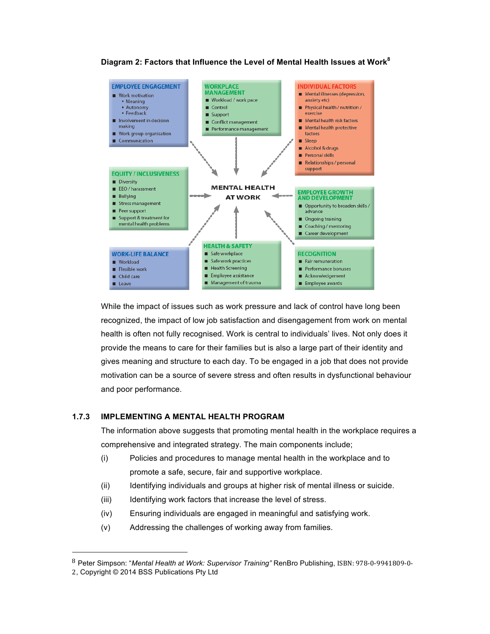

#### **Diagram 2: Factors that Influence the Level of Mental Health Issues at Work<sup>8</sup>**

While the impact of issues such as work pressure and lack of control have long been recognized, the impact of low job satisfaction and disengagement from work on mental health is often not fully recognised. Work is central to individuals' lives. Not only does it provide the means to care for their families but is also a large part of their identity and gives meaning and structure to each day. To be engaged in a job that does not provide motivation can be a source of severe stress and often results in dysfunctional behaviour and poor performance.

#### **1.7.3 IMPLEMENTING A MENTAL HEALTH PROGRAM**

The information above suggests that promoting mental health in the workplace requires a comprehensive and integrated strategy. The main components include;

- (i) Policies and procedures to manage mental health in the workplace and to promote a safe, secure, fair and supportive workplace.
- (ii) Identifying individuals and groups at higher risk of mental illness or suicide.
- (iii) Identifying work factors that increase the level of stress.
- (iv) Ensuring individuals are engaged in meaningful and satisfying work.
- (v) Addressing the challenges of working away from families.

 

<sup>8</sup> Peter Simpson: "Mental Health at Work: Supervisor Training" RenBro Publishing, ISBN: 978-0-9941809-0-

<sup>2</sup>, Copyright © 2014 BSS Publications Pty Ltd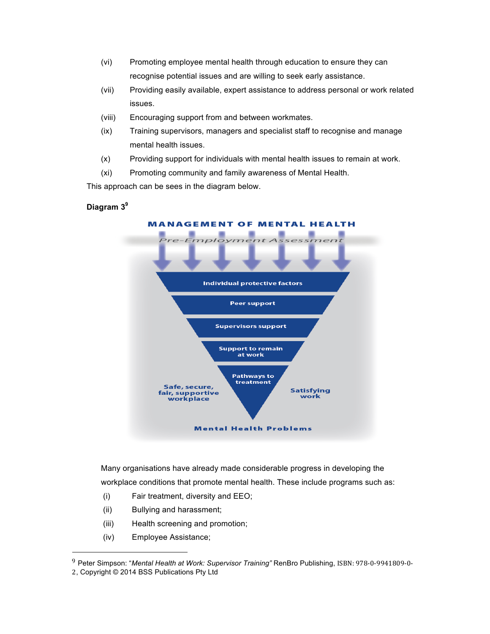- (vi) Promoting employee mental health through education to ensure they can recognise potential issues and are willing to seek early assistance.
- (vii) Providing easily available, expert assistance to address personal or work related issues.
- (viii) Encouraging support from and between workmates.
- (ix) Training supervisors, managers and specialist staff to recognise and manage mental health issues.
- (x) Providing support for individuals with mental health issues to remain at work.
- (xi) Promoting community and family awareness of Mental Health.

This approach can be sees in the diagram below.

# **Diagram 39**



Many organisations have already made considerable progress in developing the workplace conditions that promote mental health. These include programs such as:

- (i) Fair treatment, diversity and EEO;
- (ii) Bullying and harassment;
- (iii) Health screening and promotion;
- (iv) Employee Assistance;

 

<sup>&</sup>lt;sup>9</sup> Peter Simpson: "Mental Health at Work: Supervisor Training" RenBro Publishing, ISBN: 978-0-9941809-0-

<sup>2</sup>, Copyright © 2014 BSS Publications Pty Ltd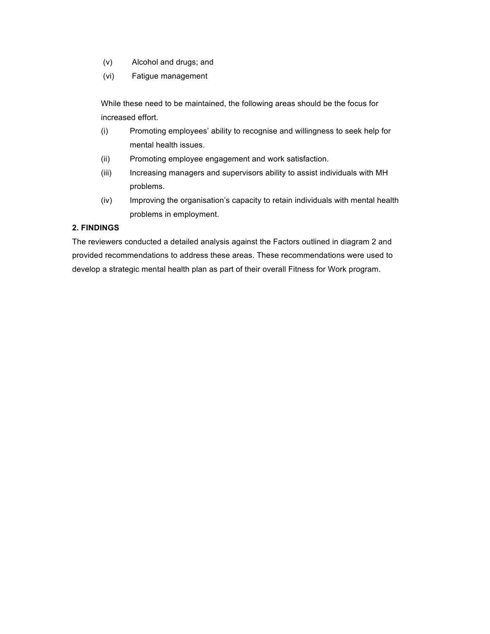- (v) Alcohol and drugs; and
- (vi) Fatigue management

While these need to be maintained, the following areas should be the focus for increased effort.

- (i) Promoting employees' ability to recognise and willingness to seek help for mental health issues.
- (ii) Promoting employee engagement and work satisfaction.
- (iii) Increasing managers and supervisors ability to assist individuals with MH problems.
- (iv) Improving the organisation's capacity to retain individuals with mental health problems in employment.

## **2. FINDINGS**

The reviewers conducted a detailed analysis against the Factors outlined in diagram 2 and provided recommendations to address these areas. These recommendations were used to develop a strategic mental health plan as part of their overall Fitness for Work program.